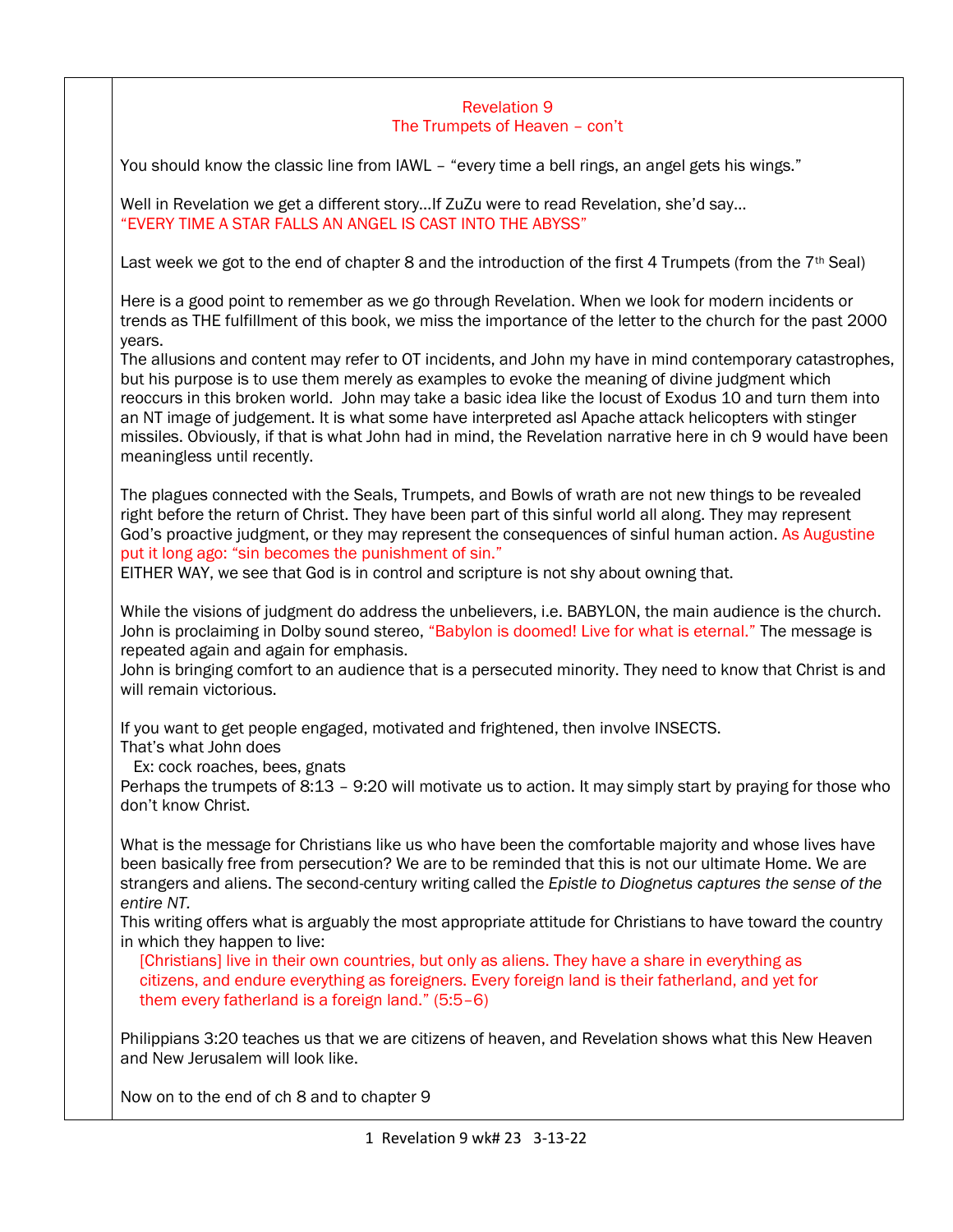## Revelation 9 The Trumpets of Heaven – con't

You should know the classic line from IAWL – "every time a bell rings, an angel gets his wings."

Well in Revelation we get a different story…If ZuZu were to read Revelation, she'd say… "EVERY TIME A STAR FALLS AN ANGEL IS CAST INTO THE ABYSS"

Last week we got to the end of chapter 8 and the introduction of the first 4 Trumpets (from the  $7<sup>th</sup>$  Seal)

Here is a good point to remember as we go through Revelation. When we look for modern incidents or trends as THE fulfillment of this book, we miss the importance of the letter to the church for the past 2000 years.

The allusions and content may refer to OT incidents, and John my have in mind contemporary catastrophes, but his purpose is to use them merely as examples to evoke the meaning of divine judgment which reoccurs in this broken world. John may take a basic idea like the locust of Exodus 10 and turn them into an NT image of judgement. It is what some have interpreted asl Apache attack helicopters with stinger missiles. Obviously, if that is what John had in mind, the Revelation narrative here in ch 9 would have been meaningless until recently.

The plagues connected with the Seals, Trumpets, and Bowls of wrath are not new things to be revealed right before the return of Christ. They have been part of this sinful world all along. They may represent God's proactive judgment, or they may represent the consequences of sinful human action. As Augustine put it long ago: "sin becomes the punishment of sin."

EITHER WAY, we see that God is in control and scripture is not shy about owning that.

While the visions of judgment do address the unbelievers, i.e. BABYLON, the main audience is the church. John is proclaiming in Dolby sound stereo, "Babylon is doomed! Live for what is eternal." The message is repeated again and again for emphasis.

John is bringing comfort to an audience that is a persecuted minority. They need to know that Christ is and will remain victorious.

If you want to get people engaged, motivated and frightened, then involve INSECTS.

That's what John does

Ex: cock roaches, bees, gnats

Perhaps the trumpets of 8:13 – 9:20 will motivate us to action. It may simply start by praying for those who don't know Christ.

What is the message for Christians like us who have been the comfortable majority and whose lives have been basically free from persecution? We are to be reminded that this is not our ultimate Home. We are strangers and aliens. The second-century writing called the *Epistle to Diognetus captures the sense of the entire NT.* 

This writing offers what is arguably the most appropriate attitude for Christians to have toward the country in which they happen to live:

[Christians] live in their own countries, but only as aliens. They have a share in everything as citizens, and endure everything as foreigners. Every foreign land is their fatherland, and yet for them every fatherland is a foreign land." (5:5–6)

Philippians 3:20 teaches us that we are citizens of heaven, and Revelation shows what this New Heaven and New Jerusalem will look like.

Now on to the end of ch 8 and to chapter 9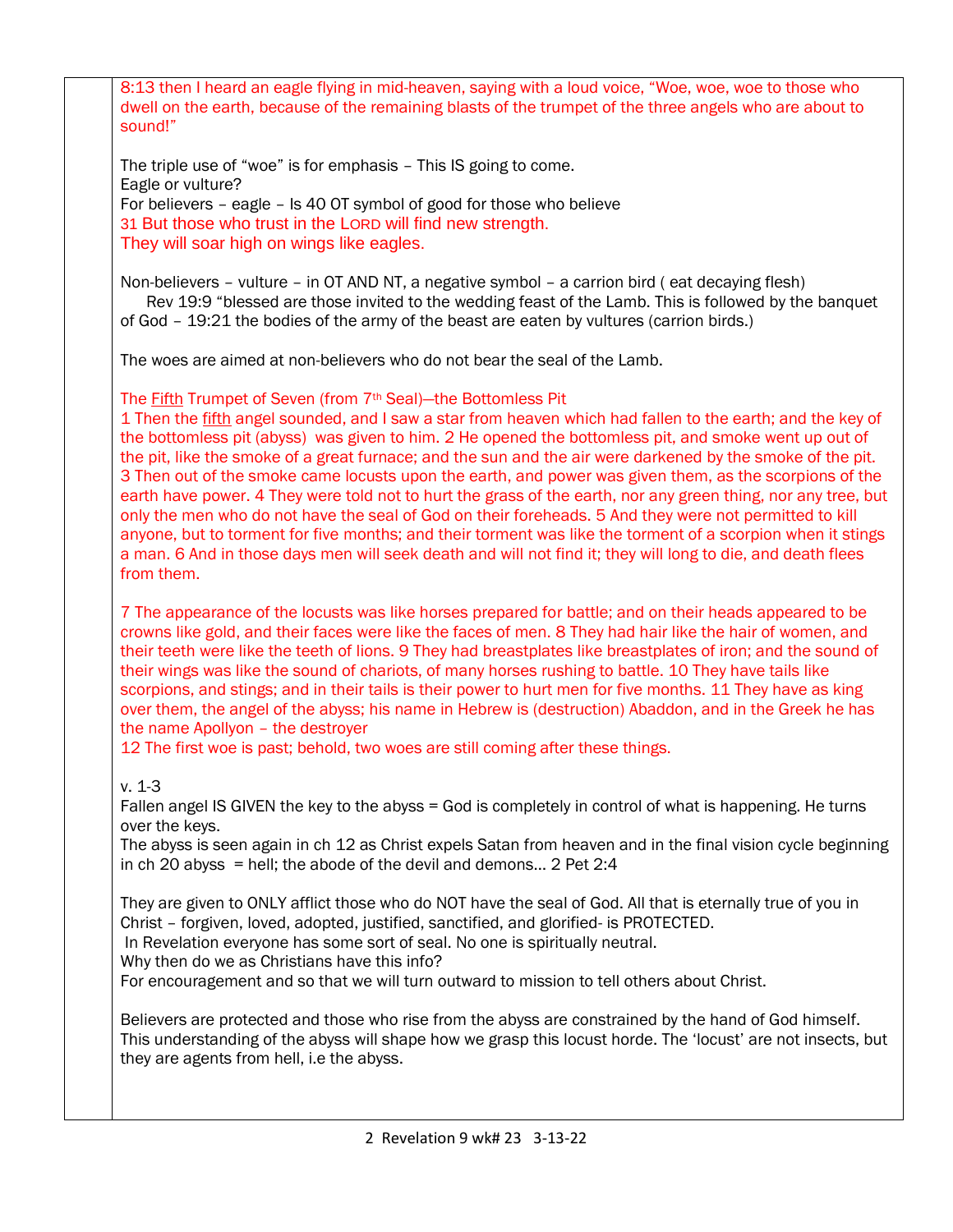8:13 then I heard an eagle flying in mid-heaven, saying with a loud voice, "Woe, woe, woe to those who dwell on the earth, because of the remaining blasts of the trumpet of the three angels who are about to sound!"

The triple use of "woe" is for emphasis – This IS going to come. Eagle or vulture? For believers – eagle – Is 40 OT symbol of good for those who believe 31 But those who trust in the LORD will find new strength. They will soar high on wings like eagles.

Non-believers – vulture – in OT AND NT, a negative symbol – a carrion bird ( eat decaying flesh) Rev 19:9 "blessed are those invited to the wedding feast of the Lamb. This is followed by the banquet of God – 19:21 the bodies of the army of the beast are eaten by vultures (carrion birds.)

The woes are aimed at non-believers who do not bear the seal of the Lamb.

## The **Fifth Trumpet of Seven (from 7th Seal)—the Bottomless Pit**

1 Then the fifth angel sounded, and I saw a star from heaven which had fallen to the earth; and the key of the bottomless pit (abyss) was given to him. 2 He opened the bottomless pit, and smoke went up out of the pit, like the smoke of a great furnace; and the sun and the air were darkened by the smoke of the pit. 3 Then out of the smoke came locusts upon the earth, and power was given them, as the scorpions of the earth have power. 4 They were told not to hurt the grass of the earth, nor any green thing, nor any tree, but only the men who do not have the seal of God on their foreheads. 5 And they were not permitted to kill anyone, but to torment for five months; and their torment was like the torment of a scorpion when it stings a man. 6 And in those days men will seek death and will not find it; they will long to die, and death flees from them.

7 The appearance of the locusts was like horses prepared for battle; and on their heads appeared to be crowns like gold, and their faces were like the faces of men. 8 They had hair like the hair of women, and their teeth were like the teeth of lions. 9 They had breastplates like breastplates of iron; and the sound of their wings was like the sound of chariots, of many horses rushing to battle. 10 They have tails like scorpions, and stings; and in their tails is their power to hurt men for five months. 11 They have as king over them, the angel of the abyss; his name in Hebrew is (destruction) Abaddon, and in the Greek he has the name Apollyon – the destroyer

12 The first woe is past; behold, two woes are still coming after these things.

## v. 1-3

Fallen angel IS GIVEN the key to the abyss = God is completely in control of what is happening. He turns over the keys.

The abyss is seen again in ch 12 as Christ expels Satan from heaven and in the final vision cycle beginning in ch 20 abyss = hell; the abode of the devil and demons... 2 Pet  $2:4$ 

They are given to ONLY afflict those who do NOT have the seal of God. All that is eternally true of you in Christ – forgiven, loved, adopted, justified, sanctified, and glorified- is PROTECTED.

In Revelation everyone has some sort of seal. No one is spiritually neutral.

Why then do we as Christians have this info?

For encouragement and so that we will turn outward to mission to tell others about Christ.

Believers are protected and those who rise from the abyss are constrained by the hand of God himself. This understanding of the abyss will shape how we grasp this locust horde. The 'locust' are not insects, but they are agents from hell, i.e the abyss.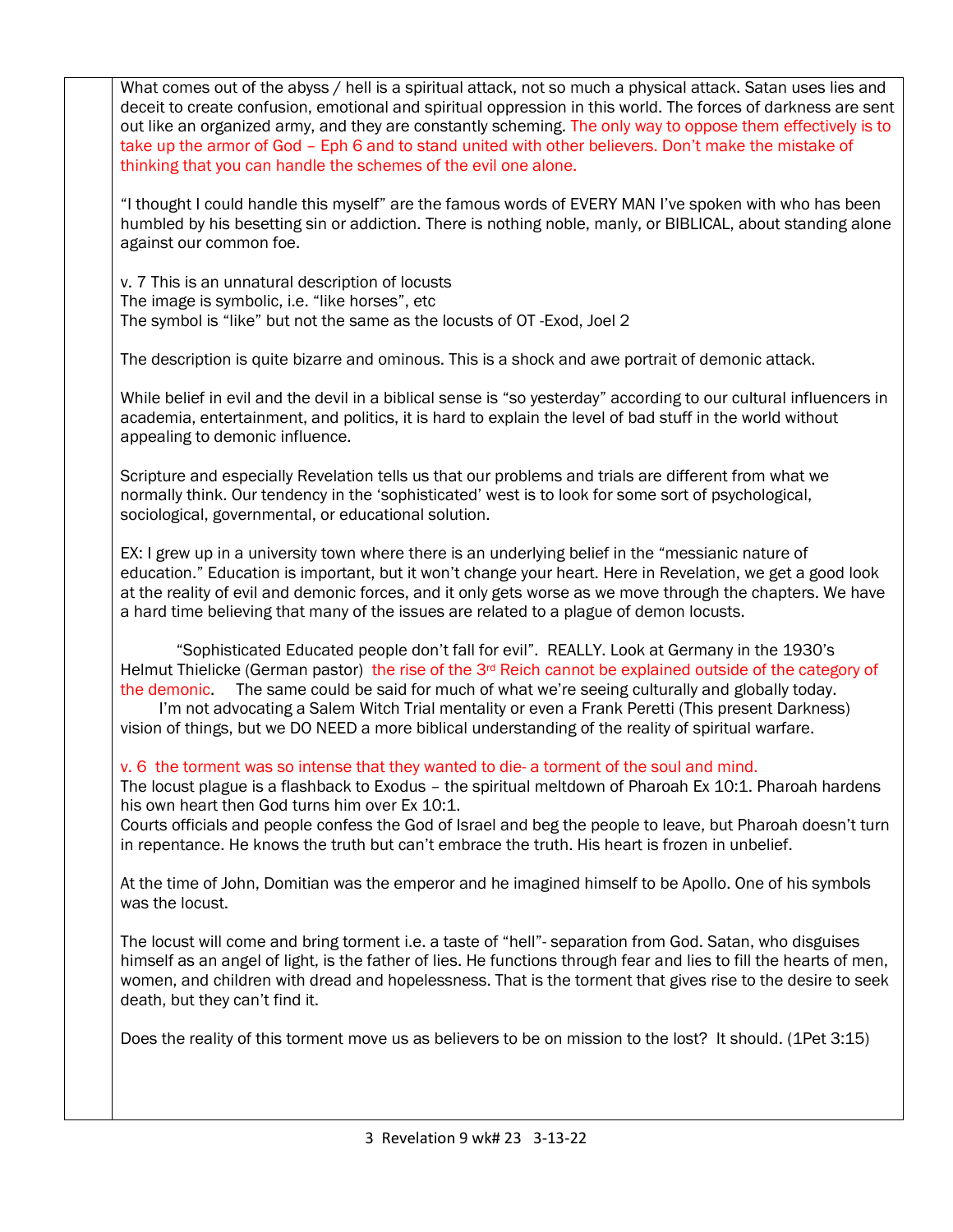What comes out of the abyss / hell is a spiritual attack, not so much a physical attack. Satan uses lies and deceit to create confusion, emotional and spiritual oppression in this world. The forces of darkness are sent out like an organized army, and they are constantly scheming. The only way to oppose them effectively is to take up the armor of God – Eph 6 and to stand united with other believers. Don't make the mistake of thinking that you can handle the schemes of the evil one alone. "I thought I could handle this myself" are the famous words of EVERY MAN I've spoken with who has been humbled by his besetting sin or addiction. There is nothing noble, manly, or BIBLICAL, about standing alone against our common foe.

v. 7 This is an unnatural description of locusts The image is symbolic, i.e. "like horses", etc The symbol is "like" but not the same as the locusts of OT -Exod, Joel 2

The description is quite bizarre and ominous. This is a shock and awe portrait of demonic attack.

While belief in evil and the devil in a biblical sense is "so yesterday" according to our cultural influencers in academia, entertainment, and politics, it is hard to explain the level of bad stuff in the world without appealing to demonic influence.

Scripture and especially Revelation tells us that our problems and trials are different from what we normally think. Our tendency in the 'sophisticated' west is to look for some sort of psychological, sociological, governmental, or educational solution.

EX: I grew up in a university town where there is an underlying belief in the "messianic nature of education." Education is important, but it won't change your heart. Here in Revelation, we get a good look at the reality of evil and demonic forces, and it only gets worse as we move through the chapters. We have a hard time believing that many of the issues are related to a plague of demon locusts.

 "Sophisticated Educated people don't fall for evil". REALLY. Look at Germany in the 1930's Helmut Thielicke (German pastor) the rise of the  $3<sup>rd</sup>$  Reich cannot be explained outside of the category of the demonic. The same could be said for much of what we're seeing culturally and globally today.

 I'm not advocating a Salem Witch Trial mentality or even a Frank Peretti (This present Darkness) vision of things, but we DO NEED a more biblical understanding of the reality of spiritual warfare.

v. 6 the torment was so intense that they wanted to die- a torment of the soul and mind.

The locust plague is a flashback to Exodus – the spiritual meltdown of Pharoah Ex 10:1. Pharoah hardens his own heart then God turns him over Ex 10:1.

Courts officials and people confess the God of Israel and beg the people to leave, but Pharoah doesn't turn in repentance. He knows the truth but can't embrace the truth. His heart is frozen in unbelief.

At the time of John, Domitian was the emperor and he imagined himself to be Apollo. One of his symbols was the locust.

The locust will come and bring torment i.e. a taste of "hell"- separation from God. Satan, who disguises himself as an angel of light, is the father of lies. He functions through fear and lies to fill the hearts of men, women, and children with dread and hopelessness. That is the torment that gives rise to the desire to seek death, but they can't find it.

Does the reality of this torment move us as believers to be on mission to the lost? It should. (1Pet 3:15)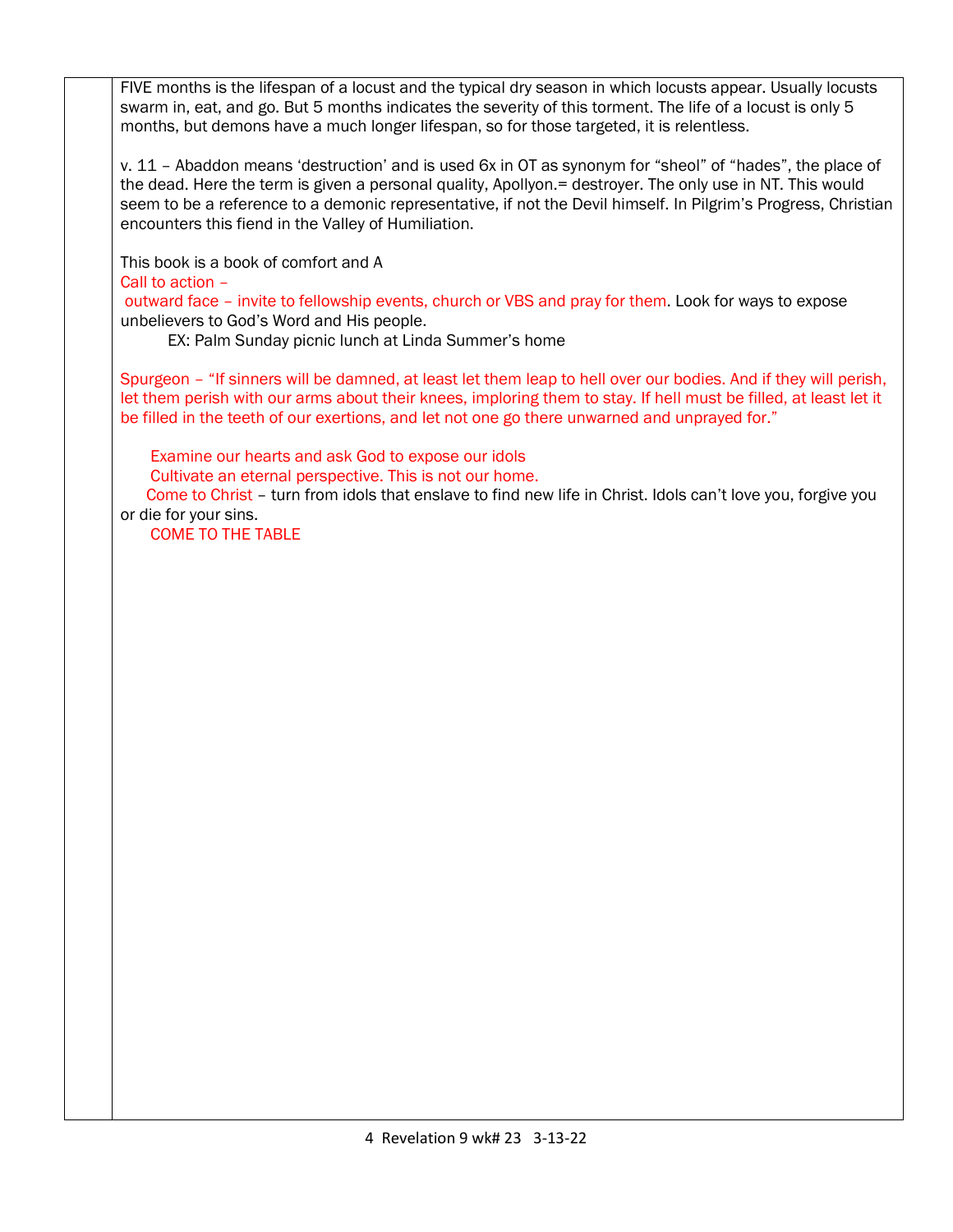FIVE months is the lifespan of a locust and the typical dry season in which locusts appear. Usually locusts swarm in, eat, and go. But 5 months indicates the severity of this torment. The life of a locust is only 5 months, but demons have a much longer lifespan, so for those targeted, it is relentless.

v. 11 – Abaddon means 'destruction' and is used 6x in OT as synonym for "sheol" of "hades", the place of the dead. Here the term is given a personal quality, Apollyon. = destroyer. The only use in NT. This would seem to be a reference to a demonic representative, if not the Devil himself. In Pilgrim's Progress, Christian encounters this fiend in the Valley of Humiliation.

This book is a book of comfort and A Call to action –

outward face – invite to fellowship events, church or VBS and pray for them. Look for ways to expose unbelievers to God's Word and His people.

EX: Palm Sunday picnic lunch at Linda Summer's home

Spurgeon – "If sinners will be damned, at least let them leap to hell over our bodies. And if they will perish, let them perish with our arms about their knees, imploring them to stay. If hell must be filled, at least let it be filled in the teeth of our exertions, and let not one go there unwarned and unprayed for."

Examine our hearts and ask God to expose our idols

Cultivate an eternal perspective. This is not our home.

 Come to Christ – turn from idols that enslave to find new life in Christ. Idols can't love you, forgive you or die for your sins.

COME TO THE TABLE